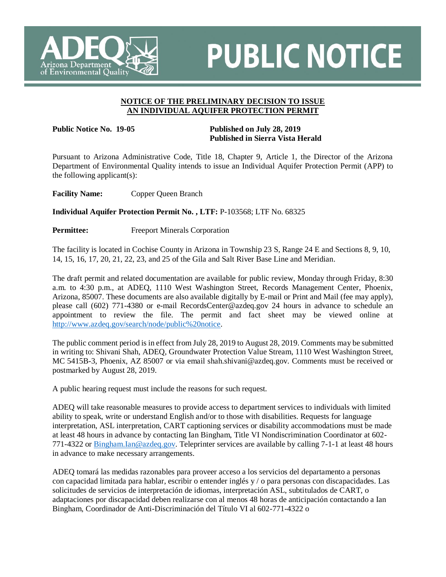

## **PUBLIC NOTICE**

## **NOTICE OF THE PRELIMINARY DECISION TO ISSUE AN INDIVIDUAL AQUIFER PROTECTION PERMIT**

## **Public Notice No. 19-05 Published on July 28, 2019 Published in Sierra Vista Herald**

Pursuant to Arizona Administrative Code, Title 18, Chapter 9, Article 1, the Director of the Arizona Department of Environmental Quality intends to issue an Individual Aquifer Protection Permit (APP) to the following applicant(s):

**Facility Name:** Copper Queen Branch

**Individual Aquifer Protection Permit No. , LTF:** P-103568; LTF No. 68325

**Permittee:** Freeport Minerals Corporation

The facility is located in Cochise County in Arizona in Township 23 S, Range 24 E and Sections 8, 9, 10, 14, 15, 16, 17, 20, 21, 22, 23, and 25 of the Gila and Salt River Base Line and Meridian.

The draft permit and related documentation are available for public review, Monday through Friday, 8:30 a.m. to 4:30 p.m., at ADEQ, 1110 West Washington Street, Records Management Center, Phoenix, Arizona, 85007. These documents are also available digitally by E-mail or Print and Mail (fee may apply), please call (602) 771-4380 or e-mail RecordsCenter@azdeq.gov 24 hours in advance to schedule an appointment to review the file. The permit and fact sheet may be viewed online at [http://www.azdeq.gov/search/node/public%20notice.](http://www.azdeq.gov/search/node/public%20notice)

The public comment period is in effect from July 28, 2019 to August 28, 2019. Comments may be submitted in writing to: Shivani Shah, ADEQ, Groundwater Protection Value Stream, 1110 West Washington Street, MC 5415B-3, Phoenix, AZ 85007 or via email shah.shivani@azdeq.gov. Comments must be received or postmarked by August 28, 2019.

A public hearing request must include the reasons for such request.

ADEQ will take reasonable measures to provide access to department services to individuals with limited ability to speak, write or understand English and/or to those with disabilities. Requests for language interpretation, ASL interpretation, CART captioning services or disability accommodations must be made at least 48 hours in advance by contacting Ian Bingham, Title VI Nondiscrimination Coordinator at 602- 771-4322 or Bingham.Ian@azdeq.gov. Teleprinter services are available by calling 7-1-1 at least 48 hours in advance to make necessary arrangements.

ADEQ tomará las medidas razonables para proveer acceso a los servicios del departamento a personas con capacidad limitada para hablar, escribir o entender inglés y / o para personas con discapacidades. Las solicitudes de servicios de interpretación de idiomas, interpretación ASL, subtitulados de CART, o adaptaciones por discapacidad deben realizarse con al menos 48 horas de anticipación contactando a Ian Bingham, Coordinador de Anti-Discriminación del Título VI al 602-771-4322 o